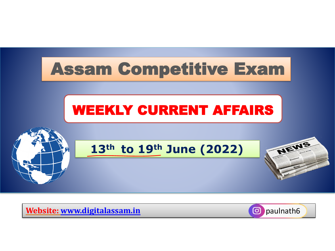

**Website: [www.digitalassam.in](http://www.digitalassam.in/)** paulnath6

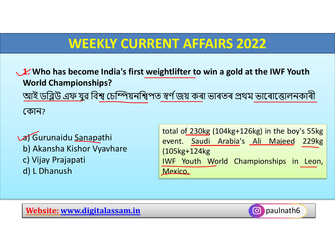**1. Who has become India's first weightlifter to win a gold at the IWF Youth World Championships?**

আই ডব্লিউ এফ যুৱ ব্লিশ্ব চেম্পিয়নব্লশ্বপত স্বৰ্ ণজয় কৰা ভাৰতৰ প্ৰথম ভাৰৰাৰতালনকাৰী

চকান?

a) Gurunaidu Sanapathi b) Akansha Kishor Vyavhare c) Vijay Prajapati d) L Dhanush

total of 230kg (104kg+126kg) in the boy's 55kg event. Saudi Arabia's Ali Majeed 229kg (105kg+124kg IWF Youth World Championships in Leon, Mexico.

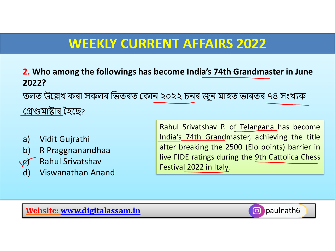**2. Who among the followings has become India's 74th Grandmaster in June 2022?** তলত উৰেখ কৰা সকলৰ ব্লভতৰত চকান ২০২২ েনৰ জনু মাহত ভাৰতৰ ৭৪ সংখযক চেণ্ডমাষ্টাৰ হহৰে?

- a) Vidit Gujrathi
- b) R Praggnanandhaa
- c) Rahul Srivatshav
- d) Viswanathan Anand

Rahul Srivatshav P. of Telangana has become India's 74th Grandmaster, achieving the title after breaking the 2500 (Elo points) barrier in live FIDE ratings during the 9th Cattolica Chess Festival 2022 in Italy.

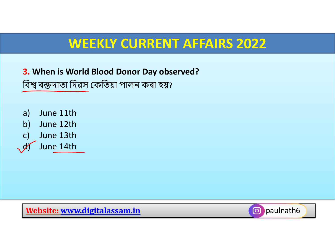**3. When is World Blood Donor Day observed?** ব্লিশ্ব ৰক্তদাতা ব্লদৱস চকব্লতয়া পালন কৰা হয়?

a) June 11th b) June 12th c) June 13th June 14th

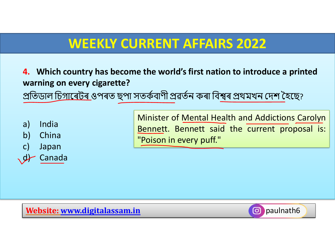**4. Which country has become the world's first nation to introduce a printed warning on every cigarette?** প্ৰতিডাল চি<u>গাৰেটৰ ও</u>পৰত ছপা সতৰ্কবাণী প্ৰৱৰ্তন কৰা বিশ্বৰ প্ৰথমখন দেশ হৈছে?

a) India

b) China

c) Japan

**Canada** 

Minister of Mental Health and Addictions Carolyn Bennett. Bennett said the current proposal is: "Poison in every puff."

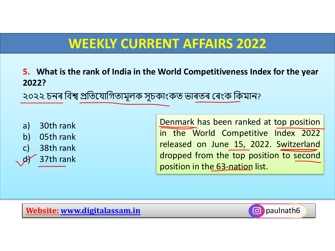**5. What is the rank of India in the World Competitiveness Index for the year 2022?**

২০২২ চনৰ বিশ্ব প্ৰতিযোগিতামূলক সূচকাংকত ভাৰতৰ ৰেংক কিমান?

a) 30th rank b) 05th rank c) 38th rank 37th rank Denmark has been ranked at top position in the World Competitive Index 2022 released on June 15, 2022. Switzerland dropped from the top position to second position in the 63-nation list.

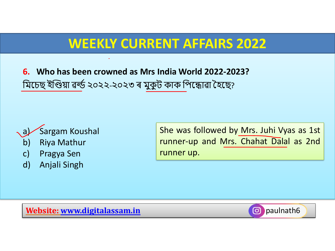**6. Who has been crowned as Mrs India World 2022-2023?** মিচেছ ইণ্ডিয়া ৱৰ্ল্ড ২০২২-২০২৩ ৰ মুকুট কাক পিন্ধোৱা হৈছে?



- c) Pragya Sen
- d) Anjali Singh

She was followed by Mrs. Juhi Vyas as 1st runner-up and Mrs. Chahat Dalal as 2nd runner up.

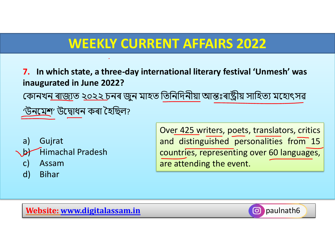**7. In which state, a three-day international literary festival 'Unmesh' was inaugurated in June 2022?** <u>কোনখন ৰাজ্যত ২০২২ চনৰ জুন মাহত তিনিদিনীয়া আন্তঃৰাষ্ট্ৰীয় সাহিত্য মহোৎসৱ</u> 'উনমেশ' উদ্বোধন কৰা হৈছিল?

- a) Gujrat b) Himachal Pradesh
	- c) Assam
	- d) Bihar

Over 425 writers, poets, translators, critics and distinguished personalities from 15 countries, representing over 60 languages, are attending the event.

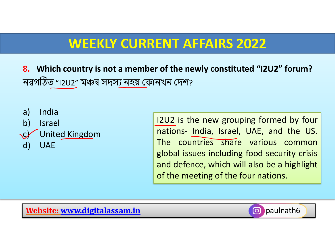**8. Which country is not a member of the newly constituted "I2U2" forum?** নৱগঠিত "I2U2" মঞ্চৰ সদসয নহয় চকানখন চদশ?



I2U2 is the new grouping formed by four nations- India, Israel, UAE, and the US. The countries share various common global issues including food security crisis and defence, which will also be a highlight of the meeting of the four nations.

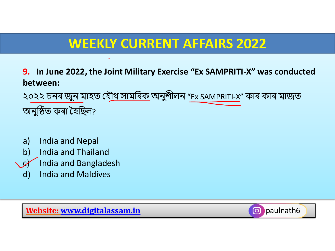**9. In June 2022, the Joint Military Exercise "Ex SAMPRITI-X" was conducted between:**

২০২২ চনৰ জুন মাহত য<u>ৌথ সামৰিক</u> অনুশীলন "Ex SAMPRITI-X" কাৰ কাৰ মাজত অনুঠিত কৰা হহব্লেল?

- a) India and Nepal
- b) India and Thailand
- India and Bangladesh
- d) India and Maldives

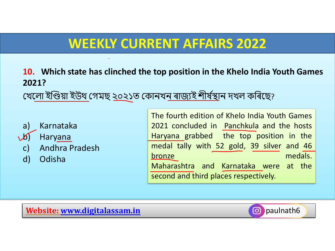**10. Which state has clinched the top position in the Khelo India Youth Games 2021?**

<u>খেলো ইণ্ডিয়া ইউথ গেমছ ২০২১ত কোনখন ৰাজ্যই শীৰ্ষস্থা</u>ন দখল কৰিছে?

- a) Karnataka b) Haryana
- c) Andhra Pradesh
- d) Odisha

The fourth edition of Khelo India Youth Games 2021 concluded in Panchkula and the hosts Haryana grabbed the top position in the medal tally with 52 gold, 39 silver and 46 bronze medals. Maharashtra and Karnataka were at the second and third places respectively.

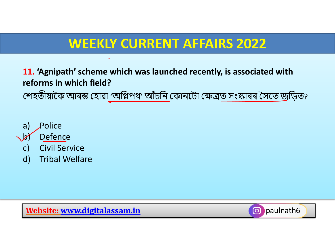**11. 'Agnipath' scheme which was launched recently, is associated with reforms in which field?** শেহতীয়াকৈ আৰম্ভ হোৱা 'অগ্নিপথ' আঁচনি কোনটো ক্ষেত্ৰত সংস্কাৰৰ সৈতে জুড়িত?



- 
- d) Tribal Welfare

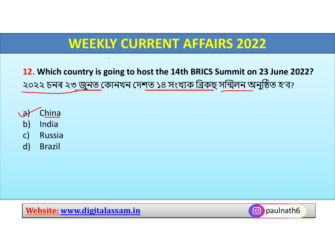**12. Which country is going to host the 14th BRICS Summit on 23 June 2022?** ২০২২ চনৰ ২৩ জুনত কোনখন দেশত ১৪ সংখ্যক ব্ৰিকছ সন্মিলন অনুষ্ঠিত হ'ব?

- a) China b) India c) Russia
	- d) Brazil

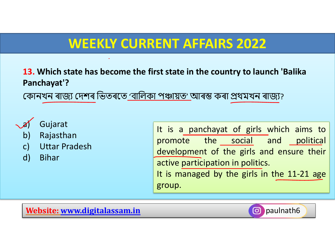**13. Which state has become the first state in the country to launch 'Balika Panchayat'?**

কোনখন ৰাজ্য দেশৰ ভিতৰতে 'বালিকা পঞ্চায়ত' আৰম্ভ কৰা প্ৰথমখন ৰাজ্য?



- b) Rajasthan
- c) Uttar Pradesh
- d) Bihar

It is a panchayat of girls which aims to promote the social and political development of the girls and ensure their active participation in politics. It is managed by the girls in the 11-21 age group.

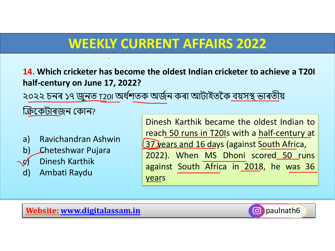**14. Which cricketer has become the oldest Indian cricketer to achieve a T20I half-century on June 17, 2022?**

২০২২ চনৰ ১৭ জুনত T20I অৰ্ধশতক অৰ্জন কৰা আটাইতকৈ বয়সস্থ ভাৰতীয়

ক্ৰিকে<u>টাৰজ</u>ন কোন?

- a) Ravichandran Ashwin
- b) Cheteshwar Pujara
- Dinesh Karthik
- d) Ambati Raydu

Dinesh Karthik became the oldest Indian to reach 50 runs in T20Is with a half-century at 37 years and 16 days (against South Africa, 2022). When MS Dhoni scored 50 runs against South Africa in 2018, he was 36 years